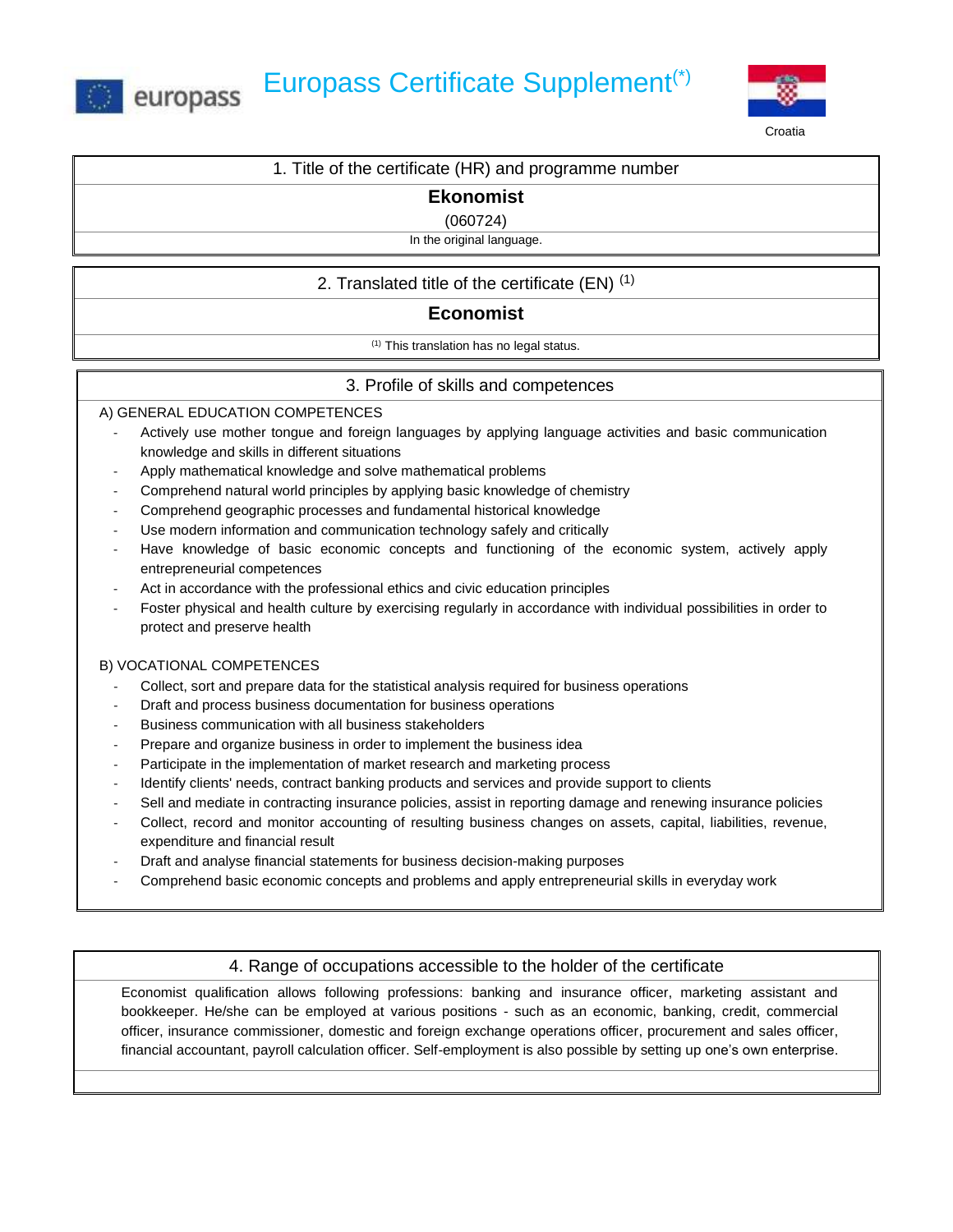



1. Title of the certificate (HR) and programme number

**Ekonomist** 

(060724)

In the original language.

# 2. Translated title of the certificate  $(EN)^{(1)}$

# **Economist**

(1) This translation has no legal status.

## 3. Profile of skills and competences

### A) GENERAL EDUCATION COMPETENCES

- Actively use mother tongue and foreign languages by applying language activities and basic communication knowledge and skills in different situations
- Apply mathematical knowledge and solve mathematical problems
- Comprehend natural world principles by applying basic knowledge of chemistry
- Comprehend geographic processes and fundamental historical knowledge
- Use modern information and communication technology safely and critically
- Have knowledge of basic economic concepts and functioning of the economic system, actively apply entrepreneurial competences
- Act in accordance with the professional ethics and civic education principles
- Foster physical and health culture by exercising regularly in accordance with individual possibilities in order to protect and preserve health

### B) VOCATIONAL COMPETENCES

- Collect, sort and prepare data for the statistical analysis required for business operations
- Draft and process business documentation for business operations
- Business communication with all business stakeholders
- Prepare and organize business in order to implement the business idea
- Participate in the implementation of market research and marketing process
- Identify clients' needs, contract banking products and services and provide support to clients
- Sell and mediate in contracting insurance policies, assist in reporting damage and renewing insurance policies
- Collect, record and monitor accounting of resulting business changes on assets, capital, liabilities, revenue, expenditure and financial result
- Draft and analyse financial statements for business decision-making purposes
- Comprehend basic economic concepts and problems and apply entrepreneurial skills in everyday work

## 4. Range of occupations accessible to the holder of the certificate

Economist qualification allows following professions: banking and insurance officer, marketing assistant and bookkeeper. He/she can be employed at various positions - such as an economic, banking, credit, commercial officer, insurance commissioner, domestic and foreign exchange operations officer, procurement and sales officer, financial accountant, payroll calculation officer. Self-employment is also possible by setting up one's own enterprise.